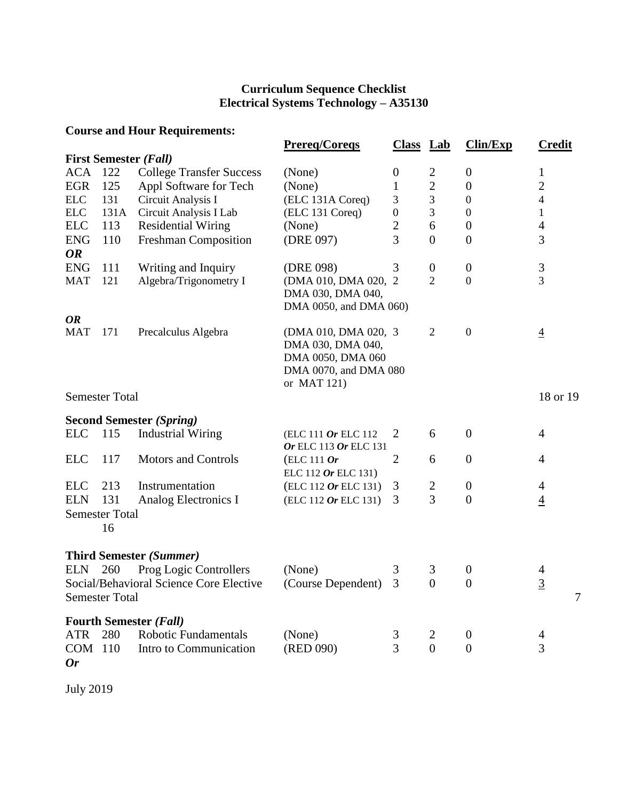## **Curriculum Sequence Checklist Electrical Systems Technology – A35130**

| <b>Course and Hour Requirements:</b> |                       |                                                              |                        |                  |                  |                  |                |  |  |  |  |
|--------------------------------------|-----------------------|--------------------------------------------------------------|------------------------|------------------|------------------|------------------|----------------|--|--|--|--|
|                                      |                       |                                                              | <b>Prereg/Coregs</b>   | <b>Class</b> Lab |                  | Clin/Exp         | <b>Credit</b>  |  |  |  |  |
|                                      |                       | <b>First Semester (Fall)</b>                                 |                        |                  |                  |                  |                |  |  |  |  |
| <b>ACA</b>                           | 122                   | <b>College Transfer Success</b>                              | (None)                 | $\boldsymbol{0}$ | 2                | $\boldsymbol{0}$ | 1              |  |  |  |  |
| <b>EGR</b>                           | 125                   | Appl Software for Tech                                       | (None)                 | $\mathbf 1$      | $\overline{c}$   | $\boldsymbol{0}$ | $\overline{2}$ |  |  |  |  |
| ELC                                  | 131                   | Circuit Analysis I                                           | (ELC 131A Coreq)       | 3                | $\mathfrak{Z}$   | $\boldsymbol{0}$ | $\overline{4}$ |  |  |  |  |
| ${\rm ELC}$                          | 131A                  | Circuit Analysis I Lab                                       | (ELC 131 Coreq)        | $\boldsymbol{0}$ | 3                | $\boldsymbol{0}$ | $\mathbf{1}$   |  |  |  |  |
| <b>ELC</b>                           | 113                   | <b>Residential Wiring</b>                                    | (None)                 | $\overline{c}$   | 6                | $\boldsymbol{0}$ | $\overline{4}$ |  |  |  |  |
| <b>ENG</b>                           | 110                   | Freshman Composition                                         | (DRE 097)              | 3                | $\overline{0}$   | $\overline{0}$   | 3              |  |  |  |  |
| <b>OR</b>                            |                       |                                                              |                        |                  |                  |                  |                |  |  |  |  |
| <b>ENG</b>                           | 111                   | Writing and Inquiry                                          | (DRE 098)              | 3                | $\boldsymbol{0}$ | $\boldsymbol{0}$ | $\mathfrak{Z}$ |  |  |  |  |
| <b>MAT</b>                           | 121                   | Algebra/Trigonometry I                                       | (DMA 010, DMA 020, 2)  |                  | $\overline{2}$   | $\mathbf{0}$     | $\overline{3}$ |  |  |  |  |
|                                      |                       |                                                              | DMA 030, DMA 040,      |                  |                  |                  |                |  |  |  |  |
|                                      |                       |                                                              | DMA 0050, and DMA 060) |                  |                  |                  |                |  |  |  |  |
| <b>OR</b>                            |                       |                                                              |                        |                  |                  |                  |                |  |  |  |  |
| <b>MAT</b>                           | 171                   | Precalculus Algebra                                          | (DMA 010, DMA 020, 3)  |                  | $\overline{2}$   | $\boldsymbol{0}$ | $\overline{4}$ |  |  |  |  |
|                                      |                       |                                                              | DMA 030, DMA 040,      |                  |                  |                  |                |  |  |  |  |
|                                      |                       |                                                              | DMA 0050, DMA 060      |                  |                  |                  |                |  |  |  |  |
|                                      |                       |                                                              | DMA 0070, and DMA 080  |                  |                  |                  |                |  |  |  |  |
|                                      | <b>Semester Total</b> |                                                              | or MAT 121)            |                  |                  |                  | 18 or 19       |  |  |  |  |
|                                      |                       |                                                              |                        |                  |                  |                  |                |  |  |  |  |
|                                      |                       | <b>Second Semester (Spring)</b>                              |                        |                  |                  |                  |                |  |  |  |  |
| <b>ELC</b>                           | 115                   | <b>Industrial Wiring</b>                                     | (ELC 111 Or ELC 112    | $\overline{2}$   | 6                | $\boldsymbol{0}$ | $\overline{4}$ |  |  |  |  |
|                                      |                       |                                                              | Or ELC 113 Or ELC 131  |                  |                  |                  |                |  |  |  |  |
| <b>ELC</b>                           | 117                   | <b>Motors and Controls</b>                                   | $(ELC 111$ Or          | $\overline{2}$   | 6                | $\boldsymbol{0}$ | $\overline{4}$ |  |  |  |  |
|                                      |                       |                                                              | ELC 112 Or ELC 131)    |                  |                  |                  |                |  |  |  |  |
| <b>ELC</b>                           | 213                   | Instrumentation                                              | $(ELC 112$ Or ELC 131) | 3                | $\overline{c}$   | $\boldsymbol{0}$ | $\overline{4}$ |  |  |  |  |
| <b>ELN</b>                           | 131                   | Analog Electronics I                                         | (ELC 112 Or ELC 131)   | 3                | $\overline{3}$   | $\overline{0}$   | $\overline{4}$ |  |  |  |  |
|                                      | <b>Semester Total</b> |                                                              |                        |                  |                  |                  |                |  |  |  |  |
|                                      | 16                    |                                                              |                        |                  |                  |                  |                |  |  |  |  |
|                                      |                       |                                                              |                        |                  |                  |                  |                |  |  |  |  |
|                                      |                       | <b>Third Semester (Summer)</b>                               |                        |                  |                  |                  |                |  |  |  |  |
| <b>ELN</b>                           | 260                   | Prog Logic Controllers                                       | (None)                 | 3                | 3                | $\boldsymbol{0}$ | 4              |  |  |  |  |
|                                      |                       | Social/Behavioral Science Core Elective                      | (Course Dependent)     | 3                | $\theta$         | $\overline{0}$   | $\overline{3}$ |  |  |  |  |
|                                      | <b>Semester Total</b> |                                                              |                        |                  |                  |                  | 7              |  |  |  |  |
|                                      |                       |                                                              |                        |                  |                  |                  |                |  |  |  |  |
| <b>ATR</b>                           | 280                   | <b>Fourth Semester (Fall)</b><br><b>Robotic Fundamentals</b> | (None)                 |                  |                  | $\boldsymbol{0}$ |                |  |  |  |  |
| COM 110                              |                       | Intro to Communication                                       | (RED 090)              | 3<br>3           | 2<br>$\theta$    | $\overline{0}$   | 4<br>3         |  |  |  |  |
| <b>Or</b>                            |                       |                                                              |                        |                  |                  |                  |                |  |  |  |  |
|                                      |                       |                                                              |                        |                  |                  |                  |                |  |  |  |  |

July 2019